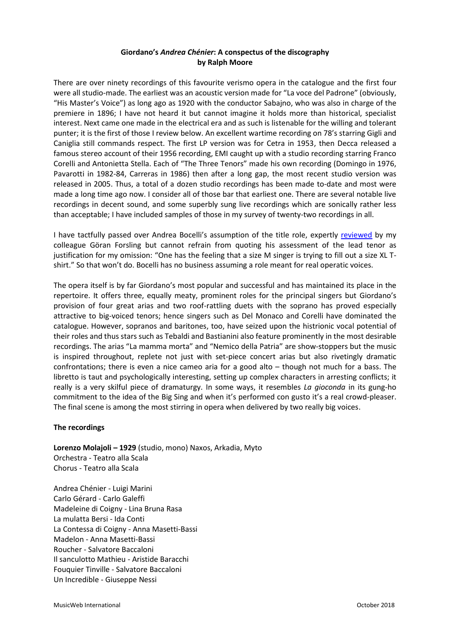## **Giordano's** *Andrea Chénier***: A conspectus of the discography by Ralph Moore**

There are over ninety recordings of this favourite verismo opera in the catalogue and the first four were all studio-made. The earliest was an acoustic version made for "La voce del Padrone" (obviously, "His Master's Voice") as long ago as 1920 with the conductor Sabajno, who was also in charge of the premiere in 1896; I have not heard it but cannot imagine it holds more than historical, specialist interest. Next came one made in the electrical era and as such is listenable for the willing and tolerant punter; it is the first of those I review below. An excellent wartime recording on 78's starring Gigli and Caniglia still commands respect. The first LP version was for Cetra in 1953, then Decca released a famous stereo account of their 1956 recording, EMI caught up with a studio recording starring Franco Corelli and Antonietta Stella. Each of "The Three Tenors" made his own recording (Domingo in 1976, Pavarotti in 1982-84, Carreras in 1986) then after a long gap, the most recent studio version was released in 2005. Thus, a total of a dozen studio recordings has been made to-date and most were made a long time ago now. I consider all of those bar that earliest one. There are several notable live recordings in decent sound, and some superbly sung live recordings which are sonically rather less than acceptable; I have included samples of those in my survey of twenty-two recordings in all.

I have tactfully passed over Andrea Bocelli's assumption of the title role, expertly [reviewed](http://www.musicweb-international.com/classrev/2010/Oct10/Giordano_Andrea_Chenier_Bocelli_4782382.htm) by my colleague Göran Forsling but cannot refrain from quoting his assessment of the lead tenor as justification for my omission: "One has the feeling that a size M singer is trying to fill out a size XL Tshirt." So that won't do. Bocelli has no business assuming a role meant for real operatic voices.

The opera itself is by far Giordano's most popular and successful and has maintained its place in the repertoire. It offers three, equally meaty, prominent roles for the principal singers but Giordano's provision of four great arias and two roof-rattling duets with the soprano has proved especially attractive to big-voiced tenors; hence singers such as Del Monaco and Corelli have dominated the catalogue. However, sopranos and baritones, too, have seized upon the histrionic vocal potential of their roles and thus stars such as Tebaldi and Bastianini also feature prominently in the most desirable recordings. The arias "La mamma morta" and "Nemico della Patria" are show-stoppers but the music is inspired throughout, replete not just with set-piece concert arias but also rivetingly dramatic confrontations; there is even a nice cameo aria for a good alto – though not much for a bass. The libretto is taut and psychologically interesting, setting up complex characters in arresting conflicts; it really is a very skilful piece of dramaturgy. In some ways, it resembles *La gioconda* in its gung-ho commitment to the idea of the Big Sing and when it's performed con gusto it's a real crowd-pleaser. The final scene is among the most stirring in opera when delivered by two really big voices.

## **The recordings**

**Lorenzo Molajoli – 1929** (studio, mono) Naxos, Arkadia, Myto Orchestra - Teatro alla Scala Chorus - Teatro alla Scala

Andrea Chénier - Luigi Marini Carlo Gérard - Carlo Galeffi Madeleine di Coigny - Lina Bruna Rasa La mulatta Bersi - Ida Conti La Contessa di Coigny - Anna Masetti-Bassi Madelon - Anna Masetti-Bassi Roucher - Salvatore Baccaloni Il sanculotto Mathieu - Aristide Baracchi Fouquier Tinville - Salvatore Baccaloni Un Incredible - Giuseppe Nessi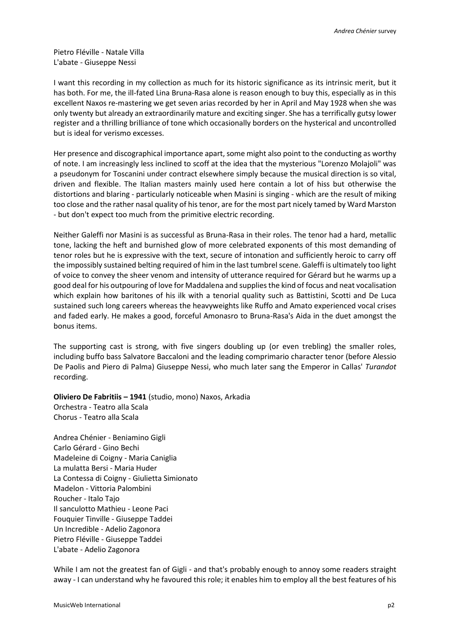Pietro Fléville - Natale Villa L'abate - Giuseppe Nessi

I want this recording in my collection as much for its historic significance as its intrinsic merit, but it has both. For me, the ill-fated Lina Bruna-Rasa alone is reason enough to buy this, especially as in this excellent Naxos re-mastering we get seven arias recorded by her in April and May 1928 when she was only twenty but already an extraordinarily mature and exciting singer. She has a terrifically gutsy lower register and a thrilling brilliance of tone which occasionally borders on the hysterical and uncontrolled but is ideal for verismo excesses.

Her presence and discographical importance apart, some might also point to the conducting as worthy of note. I am increasingly less inclined to scoff at the idea that the mysterious "Lorenzo Molajoli" was a pseudonym for Toscanini under contract elsewhere simply because the musical direction is so vital, driven and flexible. The Italian masters mainly used here contain a lot of hiss but otherwise the distortions and blaring - particularly noticeable when Masini is singing - which are the result of miking too close and the rather nasal quality of his tenor, are for the most part nicely tamed by Ward Marston - but don't expect too much from the primitive electric recording.

Neither Galeffi nor Masini is as successful as Bruna-Rasa in their roles. The tenor had a hard, metallic tone, lacking the heft and burnished glow of more celebrated exponents of this most demanding of tenor roles but he is expressive with the text, secure of intonation and sufficiently heroic to carry off the impossibly sustained belting required of him in the last tumbrel scene. Galeffi is ultimately too light of voice to convey the sheer venom and intensity of utterance required for Gérard but he warms up a good deal for his outpouring of love for Maddalena and supplies the kind of focus and neat vocalisation which explain how baritones of his ilk with a tenorial quality such as Battistini, Scotti and De Luca sustained such long careers whereas the heavyweights like Ruffo and Amato experienced vocal crises and faded early. He makes a good, forceful Amonasro to Bruna-Rasa's Aida in the duet amongst the bonus items.

The supporting cast is strong, with five singers doubling up (or even trebling) the smaller roles, including buffo bass Salvatore Baccaloni and the leading comprimario character tenor (before Alessio De Paolis and Piero di Palma) Giuseppe Nessi, who much later sang the Emperor in Callas' *Turandot* recording.

**Oliviero De Fabritiis – 1941** (studio, mono) Naxos, Arkadia Orchestra - Teatro alla Scala

Chorus - Teatro alla Scala

Andrea Chénier - Beniamino Gigli Carlo Gérard - Gino Bechi Madeleine di Coigny - Maria Caniglia La mulatta Bersi - Maria Huder La Contessa di Coigny - Giulietta Simionato Madelon - Vittoria Palombini Roucher - Italo Tajo Il sanculotto Mathieu - Leone Paci Fouquier Tinville - Giuseppe Taddei Un Incredible - Adelio Zagonora Pietro Fléville - Giuseppe Taddei L'abate - Adelio Zagonora

While I am not the greatest fan of Gigli - and that's probably enough to annoy some readers straight away - I can understand why he favoured this role; it enables him to employ all the best features of his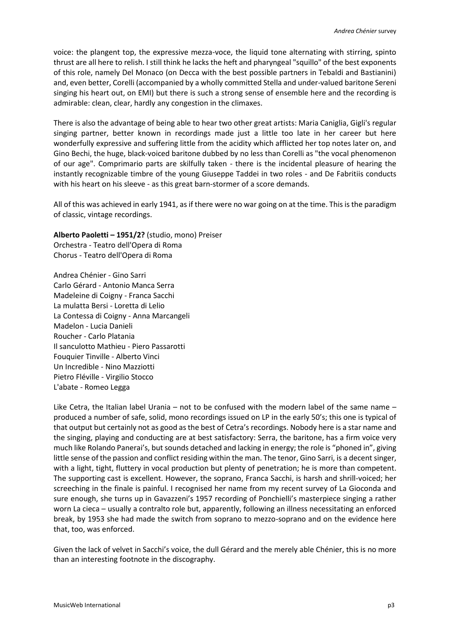voice: the plangent top, the expressive mezza-voce, the liquid tone alternating with stirring, spinto thrust are all here to relish. I still think he lacks the heft and pharyngeal "squillo" of the best exponents of this role, namely Del Monaco (on Decca with the best possible partners in Tebaldi and Bastianini) and, even better, Corelli (accompanied by a wholly committed Stella and under-valued baritone Sereni singing his heart out, on EMI) but there is such a strong sense of ensemble here and the recording is admirable: clean, clear, hardly any congestion in the climaxes.

There is also the advantage of being able to hear two other great artists: Maria Caniglia, Gigli's regular singing partner, better known in recordings made just a little too late in her career but here wonderfully expressive and suffering little from the acidity which afflicted her top notes later on, and Gino Bechi, the huge, black-voiced baritone dubbed by no less than Corelli as "the vocal phenomenon of our age". Comprimario parts are skilfully taken - there is the incidental pleasure of hearing the instantly recognizable timbre of the young Giuseppe Taddei in two roles - and De Fabritiis conducts with his heart on his sleeve - as this great barn-stormer of a score demands.

All of this was achieved in early 1941, as if there were no war going on at the time. This is the paradigm of classic, vintage recordings.

**Alberto Paoletti – 1951/2?** (studio, mono) Preiser Orchestra - Teatro dell'Opera di Roma Chorus - Teatro dell'Opera di Roma

Andrea Chénier - Gino Sarri Carlo Gérard - Antonio Manca Serra Madeleine di Coigny - Franca Sacchi La mulatta Bersi - Loretta di Lelio La Contessa di Coigny - Anna Marcangeli Madelon - Lucia Danieli Roucher - Carlo Platania Il sanculotto Mathieu - Piero Passarotti Fouquier Tinville - Alberto Vinci Un Incredible - Nino Mazziotti Pietro Fléville - Virgilio Stocco L'abate - Romeo Legga

Like Cetra, the Italian label Urania – not to be confused with the modern label of the same name – produced a number of safe, solid, mono recordings issued on LP in the early 50's; this one is typical of that output but certainly not as good as the best of Cetra's recordings. Nobody here is a star name and the singing, playing and conducting are at best satisfactory: Serra, the baritone, has a firm voice very much like Rolando Panerai's, but sounds detached and lacking in energy; the role is "phoned in", giving little sense of the passion and conflict residing within the man. The tenor, Gino Sarri, is a decent singer, with a light, tight, fluttery in vocal production but plenty of penetration; he is more than competent. The supporting cast is excellent. However, the soprano, Franca Sacchi, is harsh and shrill-voiced; her screeching in the finale is painful. I recognised her name from my recent survey of La Gioconda and sure enough, she turns up in Gavazzeni's 1957 recording of Ponchielli's masterpiece singing a rather worn La cieca – usually a contralto role but, apparently, following an illness necessitating an enforced break, by 1953 she had made the switch from soprano to mezzo-soprano and on the evidence here that, too, was enforced.

Given the lack of velvet in Sacchi's voice, the dull Gérard and the merely able Chénier, this is no more than an interesting footnote in the discography.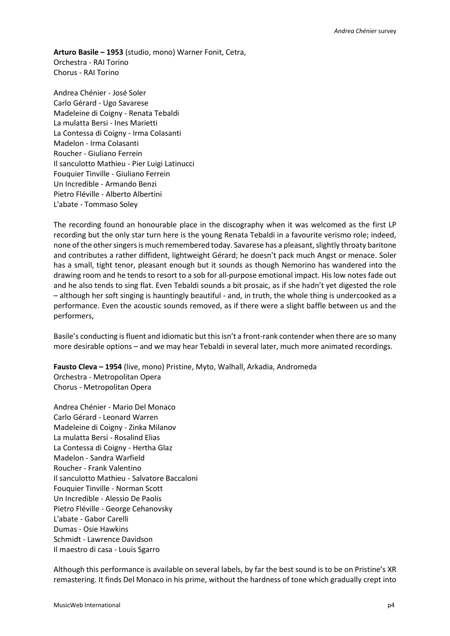**Arturo Basile – 1953** (studio, mono) Warner Fonit, Cetra, Orchestra - RAI Torino Chorus - RAI Torino

Andrea Chénier - José Soler Carlo Gérard - Ugo Savarese Madeleine di Coigny - Renata Tebaldi La mulatta Bersi - Ines Marietti La Contessa di Coigny - Irma Colasanti Madelon - Irma Colasanti Roucher - Giuliano Ferrein Il sanculotto Mathieu - Pier Luigi Latinucci Fouquier Tinville - Giuliano Ferrein Un Incredible - Armando Benzi Pietro Fléville - Alberto Albertini L'abate - Tommaso Soley

The recording found an honourable place in the discography when it was welcomed as the first LP recording but the only star turn here is the young Renata Tebaldi in a favourite verismo role; indeed, none of the other singers is much remembered today. Savarese has a pleasant, slightly throaty baritone and contributes a rather diffident, lightweight Gérard; he doesn't pack much Angst or menace. Soler has a small, tight tenor, pleasant enough but it sounds as though Nemorino has wandered into the drawing room and he tends to resort to a sob for all-purpose emotional impact. His low notes fade out and he also tends to sing flat. Even Tebaldi sounds a bit prosaic, as if she hadn't yet digested the role – although her soft singing is hauntingly beautiful - and, in truth, the whole thing is undercooked as a performance. Even the acoustic sounds removed, as if there were a slight baffle between us and the performers,

Basile's conducting is fluent and idiomatic but this isn't a front-rank contender when there are so many more desirable options – and we may hear Tebaldi in several later, much more animated recordings.

**Fausto Cleva – 1954** (live, mono) Pristine, Myto, Walhall, Arkadia, Andromeda Orchestra - Metropolitan Opera Chorus - Metropolitan Opera

Andrea Chénier - Mario Del Monaco Carlo Gérard - Leonard Warren Madeleine di Coigny - Zinka Milanov La mulatta Bersi - Rosalind Elias La Contessa di Coigny - Hertha Glaz Madelon - Sandra Warfield Roucher - Frank Valentino Il sanculotto Mathieu - Salvatore Baccaloni Fouquier Tinville - Norman Scott Un Incredible - Alessio De Paolis Pietro Fléville - George Cehanovsky L'abate - Gabor Carelli Dumas - Osie Hawkins Schmidt - Lawrence Davidson Il maestro di casa - Louis Sgarro

Although this performance is available on several labels, by far the best sound is to be on Pristine's XR remastering. It finds Del Monaco in his prime, without the hardness of tone which gradually crept into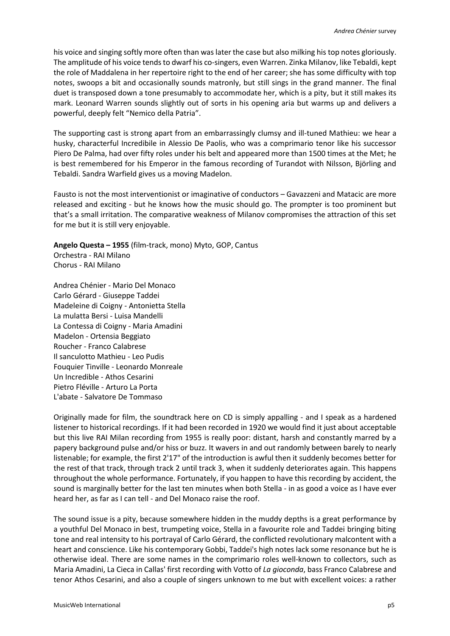his voice and singing softly more often than was later the case but also milking his top notes gloriously. The amplitude of his voice tends to dwarf his co-singers, even Warren. Zinka Milanov, like Tebaldi, kept the role of Maddalena in her repertoire right to the end of her career; she has some difficulty with top notes, swoops a bit and occasionally sounds matronly, but still sings in the grand manner. The final duet is transposed down a tone presumably to accommodate her, which is a pity, but it still makes its mark. Leonard Warren sounds slightly out of sorts in his opening aria but warms up and delivers a powerful, deeply felt "Nemico della Patria".

The supporting cast is strong apart from an embarrassingly clumsy and ill-tuned Mathieu: we hear a husky, characterful Incredibile in Alessio De Paolis, who was a comprimario tenor like his successor Piero De Palma, had over fifty roles under his belt and appeared more than 1500 times at the Met; he is best remembered for his Emperor in the famous recording of Turandot with Nilsson, Björling and Tebaldi. Sandra Warfield gives us a moving Madelon.

Fausto is not the most interventionist or imaginative of conductors – Gavazzeni and Matacic are more released and exciting - but he knows how the music should go. The prompter is too prominent but that's a small irritation. The comparative weakness of Milanov compromises the attraction of this set for me but it is still very enjoyable.

**Angelo Questa – 1955** (film-track, mono) Myto, GOP, Cantus Orchestra - RAI Milano Chorus - RAI Milano

Andrea Chénier - Mario Del Monaco Carlo Gérard - Giuseppe Taddei Madeleine di Coigny - Antonietta Stella La mulatta Bersi - Luisa Mandelli La Contessa di Coigny - Maria Amadini Madelon - Ortensia Beggiato Roucher - Franco Calabrese Il sanculotto Mathieu - Leo Pudis Fouquier Tinville - Leonardo Monreale Un Incredible - Athos Cesarini Pietro Fléville - Arturo La Porta L'abate - Salvatore De Tommaso

Originally made for film, the soundtrack here on CD is simply appalling - and I speak as a hardened listener to historical recordings. If it had been recorded in 1920 we would find it just about acceptable but this live RAI Milan recording from 1955 is really poor: distant, harsh and constantly marred by a papery background pulse and/or hiss or buzz. It wavers in and out randomly between barely to nearly listenable; for example, the first 2'17" of the introduction is awful then it suddenly becomes better for the rest of that track, through track 2 until track 3, when it suddenly deteriorates again. This happens throughout the whole performance. Fortunately, if you happen to have this recording by accident, the sound is marginally better for the last ten minutes when both Stella - in as good a voice as I have ever heard her, as far as I can tell - and Del Monaco raise the roof.

The sound issue is a pity, because somewhere hidden in the muddy depths is a great performance by a youthful Del Monaco in best, trumpeting voice, Stella in a favourite role and Taddei bringing biting tone and real intensity to his portrayal of Carlo Gérard, the conflicted revolutionary malcontent with a heart and conscience. Like his contemporary Gobbi, Taddei's high notes lack some resonance but he is otherwise ideal. There are some names in the comprimario roles well-known to collectors, such as Maria Amadini, La Cieca in Callas' first recording with Votto of *La gioconda*, bass Franco Calabrese and tenor Athos Cesarini, and also a couple of singers unknown to me but with excellent voices: a rather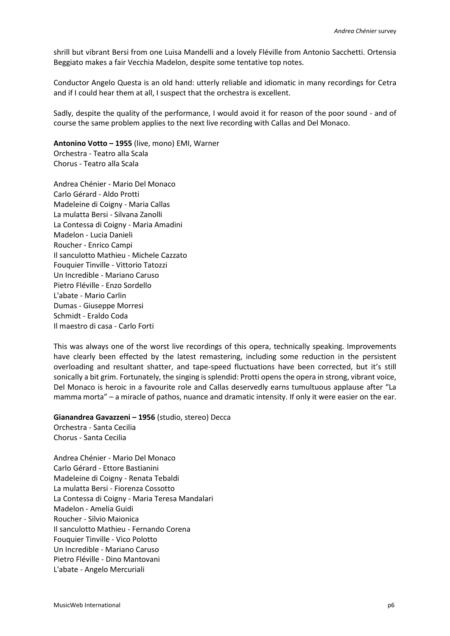shrill but vibrant Bersi from one Luisa Mandelli and a lovely Fléville from Antonio Sacchetti. Ortensia Beggiato makes a fair Vecchia Madelon, despite some tentative top notes.

Conductor Angelo Questa is an old hand: utterly reliable and idiomatic in many recordings for Cetra and if I could hear them at all, I suspect that the orchestra is excellent.

Sadly, despite the quality of the performance, I would avoid it for reason of the poor sound - and of course the same problem applies to the next live recording with Callas and Del Monaco.

**Antonino Votto – 1955** (live, mono) EMI, Warner Orchestra - Teatro alla Scala Chorus - Teatro alla Scala

Andrea Chénier - Mario Del Monaco Carlo Gérard - Aldo Protti Madeleine di Coigny - Maria Callas La mulatta Bersi - Silvana Zanolli La Contessa di Coigny - Maria Amadini Madelon - Lucia Danieli Roucher - Enrico Campi Il sanculotto Mathieu - Michele Cazzato Fouquier Tinville - Vittorio Tatozzi Un Incredible - Mariano Caruso Pietro Fléville - Enzo Sordello L'abate - Mario Carlin Dumas - Giuseppe Morresi Schmidt - Eraldo Coda Il maestro di casa - Carlo Forti

This was always one of the worst live recordings of this opera, technically speaking. Improvements have clearly been effected by the latest remastering, including some reduction in the persistent overloading and resultant shatter, and tape-speed fluctuations have been corrected, but it's still sonically a bit grim. Fortunately, the singing is splendid: Protti opens the opera in strong, vibrant voice, Del Monaco is heroic in a favourite role and Callas deservedly earns tumultuous applause after "La mamma morta" – a miracle of pathos, nuance and dramatic intensity. If only it were easier on the ear.

**Gianandrea Gavazzeni – 1956** (studio, stereo) Decca Orchestra - Santa Cecilia Chorus - Santa Cecilia

Andrea Chénier - Mario Del Monaco Carlo Gérard - Ettore Bastianini Madeleine di Coigny - Renata Tebaldi La mulatta Bersi - Fiorenza Cossotto La Contessa di Coigny - Maria Teresa Mandalari Madelon - Amelia Guidi Roucher - Silvio Maionica Il sanculotto Mathieu - Fernando Corena Fouquier Tinville - Vico Polotto Un Incredible - Mariano Caruso Pietro Fléville - Dino Mantovani L'abate - Angelo Mercuriali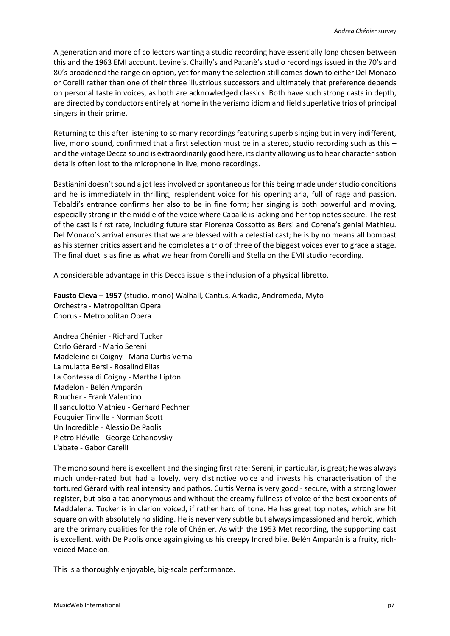A generation and more of collectors wanting a studio recording have essentially long chosen between this and the 1963 EMI account. Levine's, Chailly's and Patanè's studio recordings issued in the 70's and 80's broadened the range on option, yet for many the selection still comes down to either Del Monaco or Corelli rather than one of their three illustrious successors and ultimately that preference depends on personal taste in voices, as both are acknowledged classics. Both have such strong casts in depth, are directed by conductors entirely at home in the verismo idiom and field superlative trios of principal singers in their prime.

Returning to this after listening to so many recordings featuring superb singing but in very indifferent, live, mono sound, confirmed that a first selection must be in a stereo, studio recording such as this – and the vintage Decca sound is extraordinarily good here, its clarity allowing us to hear characterisation details often lost to the microphone in live, mono recordings.

Bastianini doesn't sound a jot less involved or spontaneous for this being made under studio conditions and he is immediately in thrilling, resplendent voice for his opening aria, full of rage and passion. Tebaldi's entrance confirms her also to be in fine form; her singing is both powerful and moving, especially strong in the middle of the voice where Caballé is lacking and her top notes secure. The rest of the cast is first rate, including future star Fiorenza Cossotto as Bersi and Corena's genial Mathieu. Del Monaco's arrival ensures that we are blessed with a celestial cast; he is by no means all bombast as his sterner critics assert and he completes a trio of three of the biggest voices ever to grace a stage. The final duet is as fine as what we hear from Corelli and Stella on the EMI studio recording.

A considerable advantage in this Decca issue is the inclusion of a physical libretto.

**Fausto Cleva – 1957** (studio, mono) Walhall, Cantus, Arkadia, Andromeda, Myto Orchestra - Metropolitan Opera Chorus - Metropolitan Opera

Andrea Chénier - Richard Tucker Carlo Gérard - Mario Sereni Madeleine di Coigny - Maria Curtis Verna La mulatta Bersi - Rosalind Elias La Contessa di Coigny - Martha Lipton Madelon - Belén Amparán Roucher - Frank Valentino Il sanculotto Mathieu - Gerhard Pechner Fouquier Tinville - Norman Scott Un Incredible - Alessio De Paolis Pietro Fléville - George Cehanovsky L'abate - Gabor Carelli

The mono sound here is excellent and the singing first rate: Sereni, in particular, is great; he was always much under-rated but had a lovely, very distinctive voice and invests his characterisation of the tortured Gérard with real intensity and pathos. Curtis Verna is very good - secure, with a strong lower register, but also a tad anonymous and without the creamy fullness of voice of the best exponents of Maddalena. Tucker is in clarion voiced, if rather hard of tone. He has great top notes, which are hit square on with absolutely no sliding. He is never very subtle but always impassioned and heroic, which are the primary qualities for the role of Chénier. As with the 1953 Met recording, the supporting cast is excellent, with De Paolis once again giving us his creepy Incredibile. Belén Amparán is a fruity, richvoiced Madelon.

This is a thoroughly enjoyable, big-scale performance.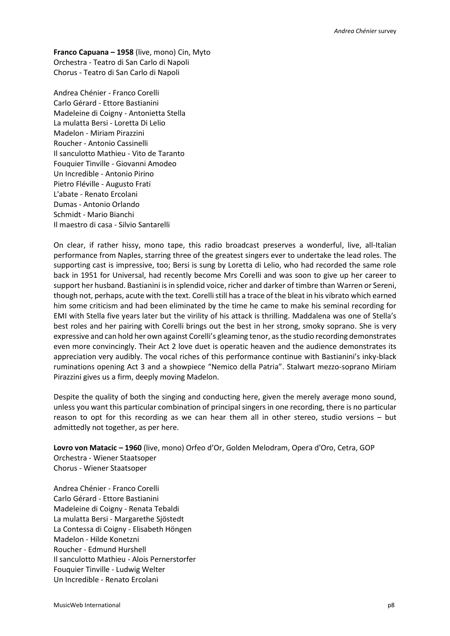**Franco Capuana – 1958** (live, mono) Cin, Myto Orchestra - Teatro di San Carlo di Napoli Chorus - Teatro di San Carlo di Napoli

Andrea Chénier - Franco Corelli Carlo Gérard - Ettore Bastianini Madeleine di Coigny - Antonietta Stella La mulatta Bersi - Loretta Di Lelio Madelon - Miriam Pirazzini Roucher - Antonio Cassinelli Il sanculotto Mathieu - Vito de Taranto Fouquier Tinville - Giovanni Amodeo Un Incredible - Antonio Pirino Pietro Fléville - Augusto Frati L'abate - Renato Ercolani Dumas - Antonio Orlando Schmidt - Mario Bianchi Il maestro di casa - Silvio Santarelli

On clear, if rather hissy, mono tape, this radio broadcast preserves a wonderful, live, all-Italian performance from Naples, starring three of the greatest singers ever to undertake the lead roles. The supporting cast is impressive, too; Bersi is sung by Loretta di Lelio, who had recorded the same role back in 1951 for Universal, had recently become Mrs Corelli and was soon to give up her career to support her husband. Bastianini is in splendid voice, richer and darker of timbre than Warren or Sereni, though not, perhaps, acute with the text. Corelli still has a trace of the bleat in his vibrato which earned him some criticism and had been eliminated by the time he came to make his seminal recording for EMI with Stella five years later but the virility of his attack is thrilling. Maddalena was one of Stella's best roles and her pairing with Corelli brings out the best in her strong, smoky soprano. She is very expressive and can hold her own against Corelli's gleaming tenor, as the studio recording demonstrates even more convincingly. Their Act 2 love duet is operatic heaven and the audience demonstrates its appreciation very audibly. The vocal riches of this performance continue with Bastianini's inky-black ruminations opening Act 3 and a showpiece "Nemico della Patria". Stalwart mezzo-soprano Miriam Pirazzini gives us a firm, deeply moving Madelon.

Despite the quality of both the singing and conducting here, given the merely average mono sound, unless you want this particular combination of principal singers in one recording, there is no particular reason to opt for this recording as we can hear them all in other stereo, studio versions – but admittedly not together, as per here.

**Lovro von Matacic – 1960** (live, mono) Orfeo d'Or, Golden Melodram, Opera d'Oro, Cetra, GOP Orchestra - Wiener Staatsoper Chorus - Wiener Staatsoper

Andrea Chénier - Franco Corelli Carlo Gérard - Ettore Bastianini Madeleine di Coigny - Renata Tebaldi La mulatta Bersi - Margarethe Sjöstedt La Contessa di Coigny - Elisabeth Höngen Madelon - Hilde Konetzni Roucher - Edmund Hurshell Il sanculotto Mathieu - Alois Pernerstorfer Fouquier Tinville - Ludwig Welter Un Incredible - Renato Ercolani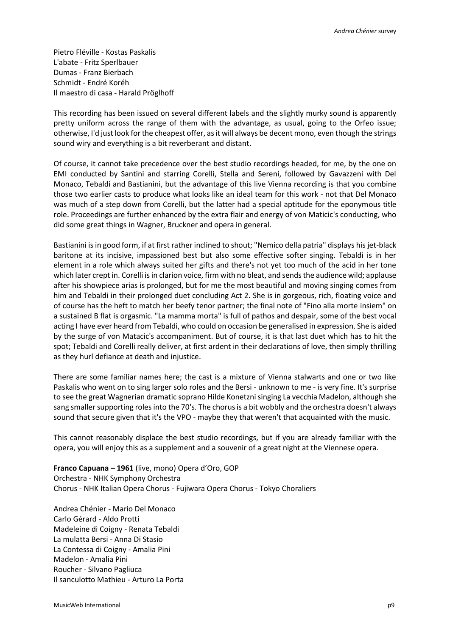Pietro Fléville - Kostas Paskalis L'abate - Fritz Sperlbauer Dumas - Franz Bierbach Schmidt - Endré Koréh Il maestro di casa - Harald Pröglhoff

This recording has been issued on several different labels and the slightly murky sound is apparently pretty uniform across the range of them with the advantage, as usual, going to the Orfeo issue; otherwise, I'd just look for the cheapest offer, as it will always be decent mono, even though the strings sound wiry and everything is a bit reverberant and distant.

Of course, it cannot take precedence over the best studio recordings headed, for me, by the one on EMI conducted by Santini and starring Corelli, Stella and Sereni, followed by Gavazzeni with Del Monaco, Tebaldi and Bastianini, but the advantage of this live Vienna recording is that you combine those two earlier casts to produce what looks like an ideal team for this work - not that Del Monaco was much of a step down from Corelli, but the latter had a special aptitude for the eponymous title role. Proceedings are further enhanced by the extra flair and energy of von Maticic's conducting, who did some great things in Wagner, Bruckner and opera in general.

Bastianini is in good form, if at first rather inclined to shout; "Nemico della patria" displays his jet-black baritone at its incisive, impassioned best but also some effective softer singing. Tebaldi is in her element in a role which always suited her gifts and there's not yet too much of the acid in her tone which later crept in. Corelli is in clarion voice, firm with no bleat, and sends the audience wild; applause after his showpiece arias is prolonged, but for me the most beautiful and moving singing comes from him and Tebaldi in their prolonged duet concluding Act 2. She is in gorgeous, rich, floating voice and of course has the heft to match her beefy tenor partner; the final note of "Fino alla morte insiem" on a sustained B flat is orgasmic. "La mamma morta" is full of pathos and despair, some of the best vocal acting I have ever heard from Tebaldi, who could on occasion be generalised in expression. She is aided by the surge of von Matacic's accompaniment. But of course, it is that last duet which has to hit the spot; Tebaldi and Corelli really deliver, at first ardent in their declarations of love, then simply thrilling as they hurl defiance at death and injustice.

There are some familiar names here; the cast is a mixture of Vienna stalwarts and one or two like Paskalis who went on to sing larger solo roles and the Bersi - unknown to me - is very fine. It's surprise to see the great Wagnerian dramatic soprano Hilde Konetzni singing La vecchia Madelon, although she sang smaller supporting roles into the 70's. The chorus is a bit wobbly and the orchestra doesn't always sound that secure given that it's the VPO - maybe they that weren't that acquainted with the music.

This cannot reasonably displace the best studio recordings, but if you are already familiar with the opera, you will enjoy this as a supplement and a souvenir of a great night at the Viennese opera.

**Franco Capuana – 1961** (live, mono) Opera d'Oro, GOP Orchestra - NHK Symphony Orchestra Chorus - NHK Italian Opera Chorus - Fujiwara Opera Chorus - Tokyo Choraliers

Andrea Chénier - Mario Del Monaco Carlo Gérard - Aldo Protti Madeleine di Coigny - Renata Tebaldi La mulatta Bersi - Anna Di Stasio La Contessa di Coigny - Amalia Pini Madelon - Amalia Pini Roucher - Silvano Pagliuca Il sanculotto Mathieu - Arturo La Porta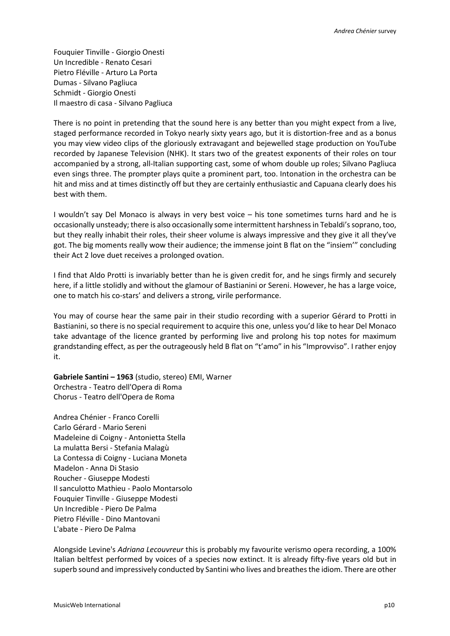Fouquier Tinville - Giorgio Onesti Un Incredible - Renato Cesari Pietro Fléville - Arturo La Porta Dumas - Silvano Pagliuca Schmidt - Giorgio Onesti Il maestro di casa - Silvano Pagliuca

There is no point in pretending that the sound here is any better than you might expect from a live, staged performance recorded in Tokyo nearly sixty years ago, but it is distortion-free and as a bonus you may view video clips of the gloriously extravagant and bejewelled stage production on YouTube recorded by Japanese Television (NHK). It stars two of the greatest exponents of their roles on tour accompanied by a strong, all-Italian supporting cast, some of whom double up roles; Silvano Pagliuca even sings three. The prompter plays quite a prominent part, too. Intonation in the orchestra can be hit and miss and at times distinctly off but they are certainly enthusiastic and Capuana clearly does his best with them.

I wouldn't say Del Monaco is always in very best voice – his tone sometimes turns hard and he is occasionally unsteady; there is also occasionally some intermittent harshness in Tebaldi's soprano, too, but they really inhabit their roles, their sheer volume is always impressive and they give it all they've got. The big moments really wow their audience; the immense joint B flat on the "insiem'" concluding their Act 2 love duet receives a prolonged ovation.

I find that Aldo Protti is invariably better than he is given credit for, and he sings firmly and securely here, if a little stolidly and without the glamour of Bastianini or Sereni. However, he has a large voice, one to match his co-stars' and delivers a strong, virile performance.

You may of course hear the same pair in their studio recording with a superior Gérard to Protti in Bastianini, so there is no special requirement to acquire this one, unless you'd like to hear Del Monaco take advantage of the licence granted by performing live and prolong his top notes for maximum grandstanding effect, as per the outrageously held B flat on "t'amo" in his "Improvviso". I rather enjoy it.

**Gabriele Santini – 1963** (studio, stereo) EMI, Warner Orchestra - Teatro dell'Opera di Roma Chorus - Teatro dell'Opera de Roma

Andrea Chénier - Franco Corelli Carlo Gérard - Mario Sereni Madeleine di Coigny - Antonietta Stella La mulatta Bersi - Stefania Malagù La Contessa di Coigny - Luciana Moneta Madelon - Anna Di Stasio Roucher - Giuseppe Modesti Il sanculotto Mathieu - Paolo Montarsolo Fouquier Tinville - Giuseppe Modesti Un Incredible - Piero De Palma Pietro Fléville - Dino Mantovani L'abate - Piero De Palma

Alongside Levine's *Adriana Lecouvreur* this is probably my favourite verismo opera recording, a 100% Italian beltfest performed by voices of a species now extinct. It is already fifty-five years old but in superb sound and impressively conducted by Santini who lives and breathes the idiom. There are other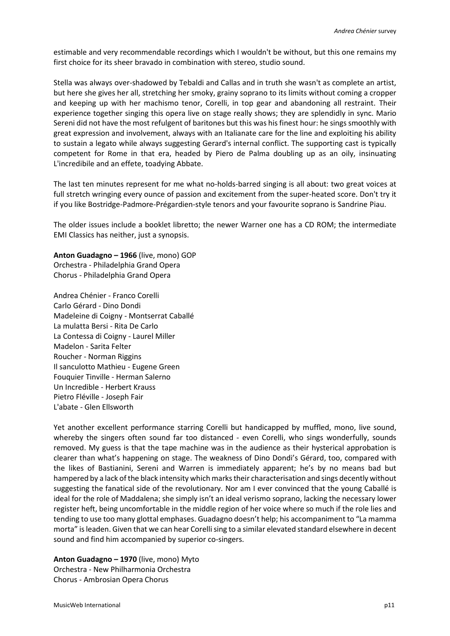estimable and very recommendable recordings which I wouldn't be without, but this one remains my first choice for its sheer bravado in combination with stereo, studio sound.

Stella was always over-shadowed by Tebaldi and Callas and in truth she wasn't as complete an artist, but here she gives her all, stretching her smoky, grainy soprano to its limits without coming a cropper and keeping up with her machismo tenor, Corelli, in top gear and abandoning all restraint. Their experience together singing this opera live on stage really shows; they are splendidly in sync. Mario Sereni did not have the most refulgent of baritones but this was his finest hour: he sings smoothly with great expression and involvement, always with an Italianate care for the line and exploiting his ability to sustain a legato while always suggesting Gerard's internal conflict. The supporting cast is typically competent for Rome in that era, headed by Piero de Palma doubling up as an oily, insinuating L'incredibile and an effete, toadying Abbate.

The last ten minutes represent for me what no-holds-barred singing is all about: two great voices at full stretch wringing every ounce of passion and excitement from the super-heated score. Don't try it if you like Bostridge-Padmore-Prégardien-style tenors and your favourite soprano is Sandrine Piau.

The older issues include a booklet libretto; the newer Warner one has a CD ROM; the intermediate EMI Classics has neither, just a synopsis.

**Anton Guadagno – 1966** (live, mono) GOP Orchestra - Philadelphia Grand Opera Chorus - Philadelphia Grand Opera

Andrea Chénier - Franco Corelli Carlo Gérard - Dino Dondi Madeleine di Coigny - Montserrat Caballé La mulatta Bersi - Rita De Carlo La Contessa di Coigny - Laurel Miller Madelon - Sarita Felter Roucher - Norman Riggins Il sanculotto Mathieu - Eugene Green Fouquier Tinville - Herman Salerno Un Incredible - Herbert Krauss Pietro Fléville - Joseph Fair L'abate - Glen Ellsworth

Yet another excellent performance starring Corelli but handicapped by muffled, mono, live sound, whereby the singers often sound far too distanced - even Corelli, who sings wonderfully, sounds removed. My guess is that the tape machine was in the audience as their hysterical approbation is clearer than what's happening on stage. The weakness of Dino Dondi's Gérard, too, compared with the likes of Bastianini, Sereni and Warren is immediately apparent; he's by no means bad but hampered by a lack of the black intensity which marks their characterisation and sings decently without suggesting the fanatical side of the revolutionary. Nor am I ever convinced that the young Caballé is ideal for the role of Maddalena; she simply isn't an ideal verismo soprano, lacking the necessary lower register heft, being uncomfortable in the middle region of her voice where so much if the role lies and tending to use too many glottal emphases. Guadagno doesn't help; his accompaniment to "La mamma morta" is leaden. Given that we can hear Corelli sing to a similar elevated standard elsewhere in decent sound and find him accompanied by superior co-singers.

**Anton Guadagno – 1970** (live, mono) Myto Orchestra - New Philharmonia Orchestra Chorus - Ambrosian Opera Chorus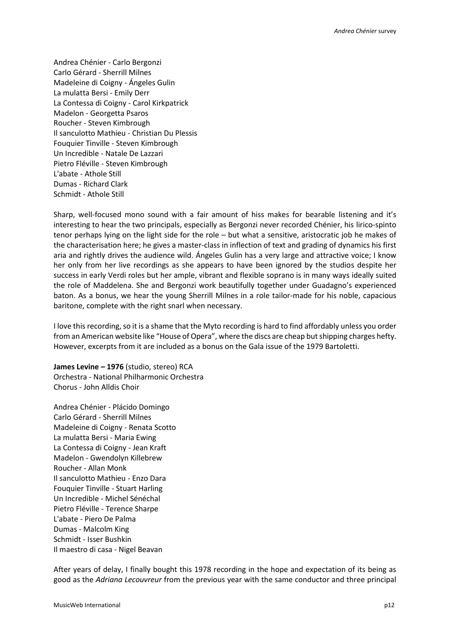Andrea Chénier - Carlo Bergonzi Carlo Gérard - Sherrill Milnes Madeleine di Coigny - Ángeles Gulin La mulatta Bersi - Emily Derr La Contessa di Coigny - Carol Kirkpatrick Madelon - Georgetta Psaros Roucher - Steven Kimbrough Il sanculotto Mathieu - Christian Du Plessis Fouquier Tinville - Steven Kimbrough Un Incredible - Natale De Lazzari Pietro Fléville - Steven Kimbrough L'abate - Athole Still Dumas - Richard Clark Schmidt - Athole Still

Sharp, well-focused mono sound with a fair amount of hiss makes for bearable listening and it's interesting to hear the two principals, especially as Bergonzi never recorded Chénier, his lirico-spinto tenor perhaps lying on the light side for the role – but what a sensitive, aristocratic job he makes of the characterisation here; he gives a master-class in inflection of text and grading of dynamics his first aria and rightly drives the audience wild. Ángeles Gulin has a very large and attractive voice; I know her only from her live recordings as she appears to have been ignored by the studios despite her success in early Verdi roles but her ample, vibrant and flexible soprano is in many ways ideally suited the role of Maddelena. She and Bergonzi work beautifully together under Guadagno's experienced baton. As a bonus, we hear the young Sherrill Milnes in a role tailor-made for his noble, capacious baritone, complete with the right snarl when necessary.

I love this recording, so it is a shame that the Myto recording is hard to find affordably unless you order from an American website like "House of Opera", where the discs are cheap but shipping charges hefty. However, excerpts from it are included as a bonus on the Gala issue of the 1979 Bartoletti.

**James Levine – 1976** (studio, stereo) RCA Orchestra - National Philharmonic Orchestra Chorus - John Alldis Choir

Andrea Chénier - Plácido Domingo Carlo Gérard - Sherrill Milnes Madeleine di Coigny - Renata Scotto La mulatta Bersi - Maria Ewing La Contessa di Coigny - Jean Kraft Madelon - Gwendolyn Killebrew Roucher - Allan Monk Il sanculotto Mathieu - Enzo Dara Fouquier Tinville - Stuart Harling Un Incredible - Michel Sénéchal Pietro Fléville - Terence Sharpe L'abate - Piero De Palma Dumas - Malcolm King Schmidt - Isser Bushkin Il maestro di casa - Nigel Beavan

After years of delay, I finally bought this 1978 recording in the hope and expectation of its being as good as the *Adriana Lecouvreur* from the previous year with the same conductor and three principal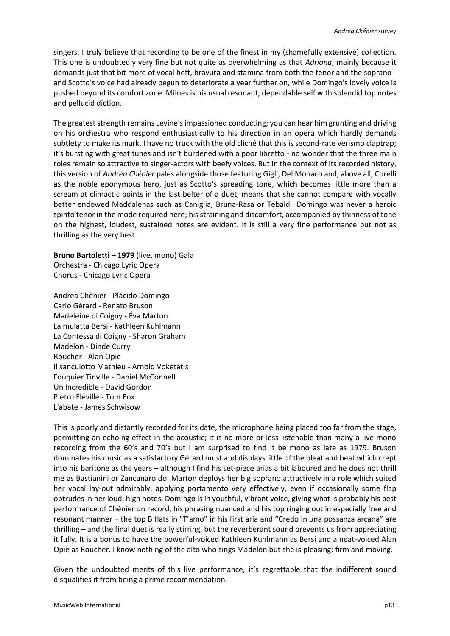singers. I truly believe that recording to be one of the finest in my (shamefully extensive) collection. This one is undoubtedly very fine but not quite as overwhelming as that *Adriana*, mainly because it demands just that bit more of vocal heft, bravura and stamina from both the tenor and the soprano and Scotto's voice had already begun to deteriorate a year further on, while Domingo's lovely voice is pushed beyond its comfort zone. Milnes is his usual resonant, dependable self with splendid top notes and pellucid diction.

The greatest strength remains Levine's impassioned conducting; you can hear him grunting and driving on his orchestra who respond enthusiastically to his direction in an opera which hardly demands subtlety to make its mark. I have no truck with the old cliché that this is second-rate verismo claptrap; it's bursting with great tunes and isn't burdened with a poor libretto - no wonder that the three main roles remain so attractive to singer-actors with beefy voices. But in the context of its recorded history, this version of *Andrea Chénier* pales alongside those featuring Gigli, Del Monaco and, above all, Corelli as the noble eponymous hero, just as Scotto's spreading tone, which becomes little more than a scream at climactic points in the last belter of a duet, means that she cannot compare with vocally better endowed Maddalenas such as Caniglia, Bruna-Rasa or Tebaldi. Domingo was never a heroic spinto tenor in the mode required here; his straining and discomfort, accompanied by thinness of tone on the highest, loudest, sustained notes are evident. It is still a very fine performance but not as thrilling as the very best.

**Bruno Bartoletti – 1979** (live, mono) Gala Orchestra - Chicago Lyric Opera Chorus - Chicago Lyric Opera

Andrea Chénier - Plácido Domingo Carlo Gérard - Renato Bruson Madeleine di Coigny - Éva Marton La mulatta Bersi - Kathleen Kuhlmann La Contessa di Coigny - Sharon Graham Madelon - Dinde Curry Roucher - Alan Opie Il sanculotto Mathieu - Arnold Voketatis Fouquier Tinville - Daniel McConnell Un Incredible - David Gordon Pietro Fléville - Tom Fox L'abate - James Schwisow

This is poorly and distantly recorded for its date, the microphone being placed too far from the stage, permitting an echoing effect in the acoustic; it is no more or less listenable than many a live mono recording from the 60's and 70's but I am surprised to find it be mono as late as 1979. Bruson dominates his music as a satisfactory Gérard must and displays little of the bleat and beat which crept into his baritone as the years – although I find his set-piece arias a bit laboured and he does not thrill me as Bastianini or Zancanaro do. Marton deploys her big soprano attractively in a role which suited her vocal lay-out admirably, applying portamento very effectively, even if occasionally some flap obtrudes in her loud, high notes. Domingo is in youthful, vibrant voice, giving what is probably his best performance of Chénier on record, his phrasing nuanced and his top ringing out in especially free and resonant manner – the top B flats in "T'amo" in his first aria and "Credo in una possanza arcana" are thrilling – and the final duet is really stirring, but the reverberant sound prevents us from appreciating it fully. It is a bonus to have the powerful-voiced Kathleen Kuhlmann as Bersi and a neat-voiced Alan Opie as Roucher. I know nothing of the alto who sings Madelon but she is pleasing: firm and moving.

Given the undoubted merits of this live performance, it's regrettable that the indifferent sound disqualifies it from being a prime recommendation.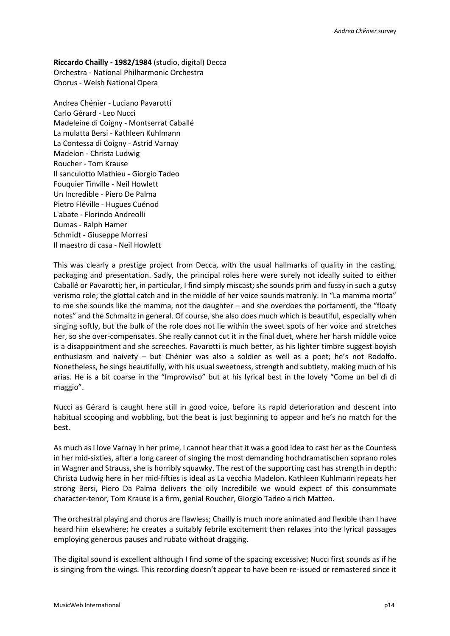**Riccardo Chailly - 1982/1984** (studio, digital) Decca Orchestra - National Philharmonic Orchestra Chorus - Welsh National Opera

Andrea Chénier - Luciano Pavarotti Carlo Gérard - Leo Nucci Madeleine di Coigny - Montserrat Caballé La mulatta Bersi - Kathleen Kuhlmann La Contessa di Coigny - Astrid Varnay Madelon - Christa Ludwig Roucher - Tom Krause Il sanculotto Mathieu - Giorgio Tadeo Fouquier Tinville - Neil Howlett Un Incredible - Piero De Palma Pietro Fléville - Hugues Cuénod L'abate - Florindo Andreolli Dumas - Ralph Hamer Schmidt - Giuseppe Morresi Il maestro di casa - Neil Howlett

This was clearly a prestige project from Decca, with the usual hallmarks of quality in the casting, packaging and presentation. Sadly, the principal roles here were surely not ideally suited to either Caballé or Pavarotti; her, in particular, I find simply miscast; she sounds prim and fussy in such a gutsy verismo role; the glottal catch and in the middle of her voice sounds matronly. In "La mamma morta" to me she sounds like the mamma, not the daughter – and she overdoes the portamenti, the "floaty notes" and the Schmaltz in general. Of course, she also does much which is beautiful, especially when singing softly, but the bulk of the role does not lie within the sweet spots of her voice and stretches her, so she over-compensates. She really cannot cut it in the final duet, where her harsh middle voice is a disappointment and she screeches. Pavarotti is much better, as his lighter timbre suggest boyish enthusiasm and naivety – but Chénier was also a soldier as well as a poet; he's not Rodolfo. Nonetheless, he sings beautifully, with his usual sweetness, strength and subtlety, making much of his arias. He is a bit coarse in the "Improvviso" but at his lyrical best in the lovely "Come un bel dì di maggio".

Nucci as Gérard is caught here still in good voice, before its rapid deterioration and descent into habitual scooping and wobbling, but the beat is just beginning to appear and he's no match for the best.

As much as I love Varnay in her prime, I cannot hear that it was a good idea to cast her as the Countess in her mid-sixties, after a long career of singing the most demanding hochdramatischen soprano roles in Wagner and Strauss, she is horribly squawky. The rest of the supporting cast has strength in depth: Christa Ludwig here in her mid-fifties is ideal as La vecchia Madelon. Kathleen Kuhlmann repeats her strong Bersi, Piero Da Palma delivers the oily Incredibile we would expect of this consummate character-tenor, Tom Krause is a firm, genial Roucher, Giorgio Tadeo a rich Matteo.

The orchestral playing and chorus are flawless; Chailly is much more animated and flexible than I have heard him elsewhere; he creates a suitably febrile excitement then relaxes into the lyrical passages employing generous pauses and rubato without dragging.

The digital sound is excellent although I find some of the spacing excessive; Nucci first sounds as if he is singing from the wings. This recording doesn't appear to have been re-issued or remastered since it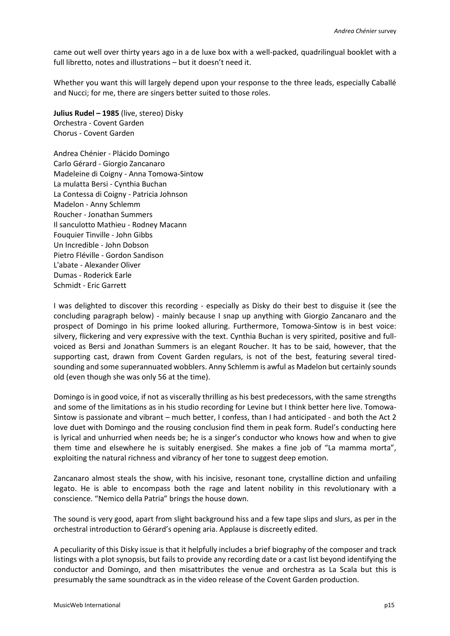came out well over thirty years ago in a de luxe box with a well-packed, quadrilingual booklet with a full libretto, notes and illustrations – but it doesn't need it.

Whether you want this will largely depend upon your response to the three leads, especially Caballé and Nucci; for me, there are singers better suited to those roles.

**Julius Rudel – 1985** (live, stereo) Disky Orchestra - Covent Garden Chorus - Covent Garden

Andrea Chénier - Plácido Domingo Carlo Gérard - Giorgio Zancanaro Madeleine di Coigny - Anna Tomowa-Sintow La mulatta Bersi - Cynthia Buchan La Contessa di Coigny - Patricia Johnson Madelon - Anny Schlemm Roucher - Jonathan Summers Il sanculotto Mathieu - Rodney Macann Fouquier Tinville - John Gibbs Un Incredible - John Dobson Pietro Fléville - Gordon Sandison L'abate - Alexander Oliver Dumas - Roderick Earle Schmidt - Eric Garrett

I was delighted to discover this recording - especially as Disky do their best to disguise it (see the concluding paragraph below) - mainly because I snap up anything with Giorgio Zancanaro and the prospect of Domingo in his prime looked alluring. Furthermore, Tomowa-Sintow is in best voice: silvery, flickering and very expressive with the text. Cynthia Buchan is very spirited, positive and fullvoiced as Bersi and Jonathan Summers is an elegant Roucher. It has to be said, however, that the supporting cast, drawn from Covent Garden regulars, is not of the best, featuring several tiredsounding and some superannuated wobblers. Anny Schlemm is awful as Madelon but certainly sounds old (even though she was only 56 at the time).

Domingo is in good voice, if not as viscerally thrilling as his best predecessors, with the same strengths and some of the limitations as in his studio recording for Levine but I think better here live. Tomowa-Sintow is passionate and vibrant – much better, I confess, than I had anticipated - and both the Act 2 love duet with Domingo and the rousing conclusion find them in peak form. Rudel's conducting here is lyrical and unhurried when needs be; he is a singer's conductor who knows how and when to give them time and elsewhere he is suitably energised. She makes a fine job of "La mamma morta", exploiting the natural richness and vibrancy of her tone to suggest deep emotion.

Zancanaro almost steals the show, with his incisive, resonant tone, crystalline diction and unfailing legato. He is able to encompass both the rage and latent nobility in this revolutionary with a conscience. "Nemico della Patria" brings the house down.

The sound is very good, apart from slight background hiss and a few tape slips and slurs, as per in the orchestral introduction to Gérard's opening aria. Applause is discreetly edited.

A peculiarity of this Disky issue is that it helpfully includes a brief biography of the composer and track listings with a plot synopsis, but fails to provide any recording date or a cast list beyond identifying the conductor and Domingo, and then misattributes the venue and orchestra as La Scala but this is presumably the same soundtrack as in the video release of the Covent Garden production.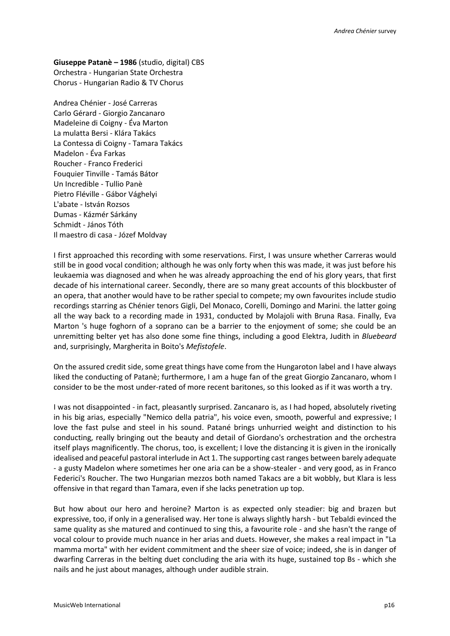**Giuseppe Patanè – 1986** (studio, digital) CBS Orchestra - Hungarian State Orchestra Chorus - Hungarian Radio & TV Chorus

Andrea Chénier - José Carreras Carlo Gérard - Giorgio Zancanaro Madeleine di Coigny - Éva Marton La mulatta Bersi - Klára Takács La Contessa di Coigny - Tamara Takács Madelon - Éva Farkas Roucher - Franco Frederici Fouquier Tinville - Tamás Bátor Un Incredible - Tullio Panè Pietro Fléville - Gábor Vághelyi L'abate - István Rozsos Dumas - Kázmér Sárkány Schmidt - János Tóth Il maestro di casa - Józef Moldvay

I first approached this recording with some reservations. First, I was unsure whether Carreras would still be in good vocal condition; although he was only forty when this was made, it was just before his leukaemia was diagnosed and when he was already approaching the end of his glory years, that first decade of his international career. Secondly, there are so many great accounts of this blockbuster of an opera, that another would have to be rather special to compete; my own favourites include studio recordings starring as Chénier tenors Gigli, Del Monaco, Corelli, Domingo and Marini. the latter going all the way back to a recording made in 1931, conducted by Molajoli with Bruna Rasa. Finally, Eva Marton 's huge foghorn of a soprano can be a barrier to the enjoyment of some; she could be an unremitting belter yet has also done some fine things, including a good Elektra, Judith in *Bluebeard* and, surprisingly, Margherita in Boito's *Mefistofele*.

On the assured credit side, some great things have come from the Hungaroton label and I have always liked the conducting of Patanè; furthermore, I am a huge fan of the great Giorgio Zancanaro, whom I consider to be the most under-rated of more recent baritones, so this looked as if it was worth a try.

I was not disappointed - in fact, pleasantly surprised. Zancanaro is, as I had hoped, absolutely riveting in his big arias, especially "Nemico della patria", his voice even, smooth, powerful and expressive; I love the fast pulse and steel in his sound. Patané brings unhurried weight and distinction to his conducting, really bringing out the beauty and detail of Giordano's orchestration and the orchestra itself plays magnificently. The chorus, too, is excellent; I love the distancing it is given in the ironically idealised and peaceful pastoral interlude in Act 1. The supporting cast ranges between barely adequate - a gusty Madelon where sometimes her one aria can be a show-stealer - and very good, as in Franco Federici's Roucher. The two Hungarian mezzos both named Takacs are a bit wobbly, but Klara is less offensive in that regard than Tamara, even if she lacks penetration up top.

But how about our hero and heroine? Marton is as expected only steadier: big and brazen but expressive, too, if only in a generalised way. Her tone is always slightly harsh - but Tebaldi evinced the same quality as she matured and continued to sing this, a favourite role - and she hasn't the range of vocal colour to provide much nuance in her arias and duets. However, she makes a real impact in "La mamma morta" with her evident commitment and the sheer size of voice; indeed, she is in danger of dwarfing Carreras in the belting duet concluding the aria with its huge, sustained top Bs - which she nails and he just about manages, although under audible strain.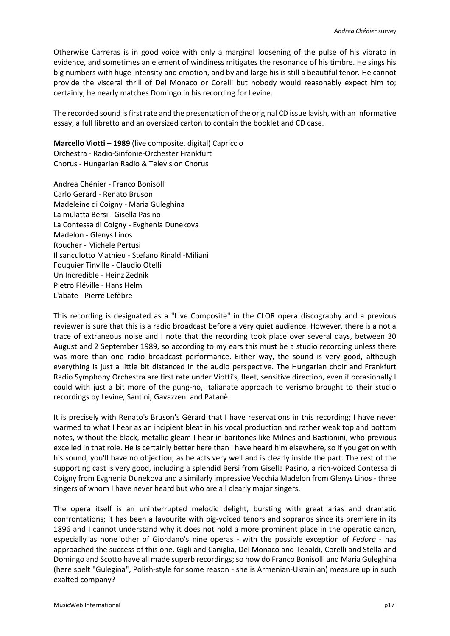Otherwise Carreras is in good voice with only a marginal loosening of the pulse of his vibrato in evidence, and sometimes an element of windiness mitigates the resonance of his timbre. He sings his big numbers with huge intensity and emotion, and by and large his is still a beautiful tenor. He cannot provide the visceral thrill of Del Monaco or Corelli but nobody would reasonably expect him to; certainly, he nearly matches Domingo in his recording for Levine.

The recorded sound is first rate and the presentation of the original CD issue lavish, with an informative essay, a full libretto and an oversized carton to contain the booklet and CD case.

**Marcello Viotti – 1989** (live composite, digital) Capriccio Orchestra - Radio-Sinfonie-Orchester Frankfurt Chorus - Hungarian Radio & Television Chorus

Andrea Chénier - Franco Bonisolli Carlo Gérard - Renato Bruson Madeleine di Coigny - Maria Guleghina La mulatta Bersi - Gisella Pasino La Contessa di Coigny - Evghenia Dunekova Madelon - Glenys Linos Roucher - Michele Pertusi Il sanculotto Mathieu - Stefano Rinaldi-Miliani Fouquier Tinville - Claudio Otelli Un Incredible - Heinz Zednik Pietro Fléville - Hans Helm L'abate - Pierre Lefèbre

This recording is designated as a "Live Composite" in the CLOR opera discography and a previous reviewer is sure that this is a radio broadcast before a very quiet audience. However, there is a not a trace of extraneous noise and I note that the recording took place over several days, between 30 August and 2 September 1989, so according to my ears this must be a studio recording unless there was more than one radio broadcast performance. Either way, the sound is very good, although everything is just a little bit distanced in the audio perspective. The Hungarian choir and Frankfurt Radio Symphony Orchestra are first rate under Viotti's, fleet, sensitive direction, even if occasionally I could with just a bit more of the gung-ho, Italianate approach to verismo brought to their studio recordings by Levine, Santini, Gavazzeni and Patanè.

It is precisely with Renato's Bruson's Gérard that I have reservations in this recording; I have never warmed to what I hear as an incipient bleat in his vocal production and rather weak top and bottom notes, without the black, metallic gleam I hear in baritones like Milnes and Bastianini, who previous excelled in that role. He is certainly better here than I have heard him elsewhere, so if you get on with his sound, you'll have no objection, as he acts very well and is clearly inside the part. The rest of the supporting cast is very good, including a splendid Bersi from Gisella Pasino, a rich-voiced Contessa di Coigny from Evghenia Dunekova and a similarly impressive Vecchia Madelon from Glenys Linos - three singers of whom I have never heard but who are all clearly major singers.

The opera itself is an uninterrupted melodic delight, bursting with great arias and dramatic confrontations; it has been a favourite with big-voiced tenors and sopranos since its premiere in its 1896 and I cannot understand why it does not hold a more prominent place in the operatic canon, especially as none other of Giordano's nine operas - with the possible exception of *Fedora* - has approached the success of this one. Gigli and Caniglia, Del Monaco and Tebaldi, Corelli and Stella and Domingo and Scotto have all made superb recordings; so how do Franco Bonisolli and Maria Guleghina (here spelt "Gulegina", Polish-style for some reason - she is Armenian-Ukrainian) measure up in such exalted company?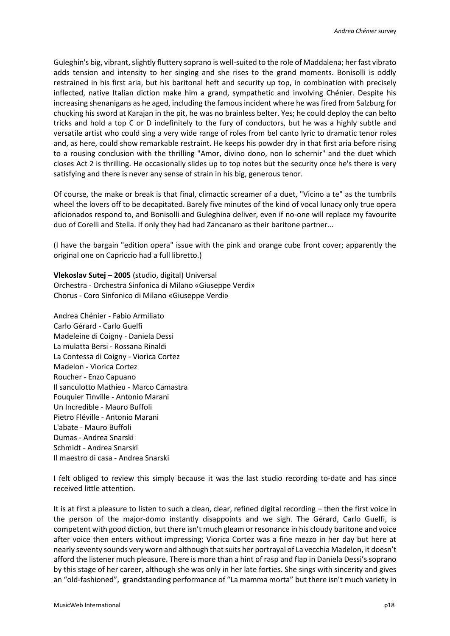Guleghin's big, vibrant, slightly fluttery soprano is well-suited to the role of Maddalena; her fast vibrato adds tension and intensity to her singing and she rises to the grand moments. Bonisolli is oddly restrained in his first aria, but his baritonal heft and security up top, in combination with precisely inflected, native Italian diction make him a grand, sympathetic and involving Chénier. Despite his increasing shenanigans as he aged, including the famous incident where he was fired from Salzburg for chucking his sword at Karajan in the pit, he was no brainless belter. Yes; he could deploy the can belto tricks and hold a top C or D indefinitely to the fury of conductors, but he was a highly subtle and versatile artist who could sing a very wide range of roles from bel canto lyric to dramatic tenor roles and, as here, could show remarkable restraint. He keeps his powder dry in that first aria before rising to a rousing conclusion with the thrilling "Amor, divino dono, non lo schernir" and the duet which closes Act 2 is thrilling. He occasionally slides up to top notes but the security once he's there is very satisfying and there is never any sense of strain in his big, generous tenor.

Of course, the make or break is that final, climactic screamer of a duet, "Vicino a te" as the tumbrils wheel the lovers off to be decapitated. Barely five minutes of the kind of vocal lunacy only true opera aficionados respond to, and Bonisolli and Guleghina deliver, even if no-one will replace my favourite duo of Corelli and Stella. If only they had had Zancanaro as their baritone partner...

(I have the bargain "edition opera" issue with the pink and orange cube front cover; apparently the original one on Capriccio had a full libretto.)

**Vlekoslav Sutej – 2005** (studio, digital) Universal Orchestra - Orchestra Sinfonica di Milano «Giuseppe Verdi» Chorus - Coro Sinfonico di Milano «Giuseppe Verdi»

Andrea Chénier - Fabio Armiliato Carlo Gérard - Carlo Guelfi Madeleine di Coigny - Daniela Dessi La mulatta Bersi - Rossana Rinaldi La Contessa di Coigny - Viorica Cortez Madelon - Viorica Cortez Roucher - Enzo Capuano Il sanculotto Mathieu - Marco Camastra Fouquier Tinville - Antonio Marani Un Incredible - Mauro Buffoli Pietro Fléville - Antonio Marani L'abate - Mauro Buffoli Dumas - Andrea Snarski Schmidt - Andrea Snarski Il maestro di casa - Andrea Snarski

I felt obliged to review this simply because it was the last studio recording to-date and has since received little attention.

It is at first a pleasure to listen to such a clean, clear, refined digital recording – then the first voice in the person of the major-domo instantly disappoints and we sigh. The Gérard, Carlo Guelfi, is competent with good diction, but there isn't much gleam or resonance in his cloudy baritone and voice after voice then enters without impressing; Viorica Cortez was a fine mezzo in her day but here at nearly seventy sounds very worn and although that suits her portrayal of La vecchia Madelon, it doesn't afford the listener much pleasure. There is more than a hint of rasp and flap in Daniela Dessi's soprano by this stage of her career, although she was only in her late forties. She sings with sincerity and gives an "old-fashioned", grandstanding performance of "La mamma morta" but there isn't much variety in